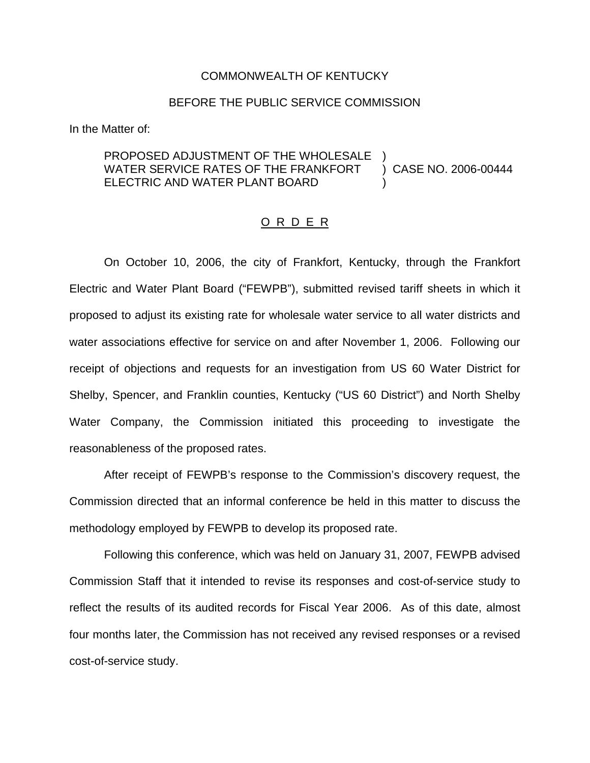## COMMONWEALTH OF KENTUCKY

## BEFORE THE PUBLIC SERVICE COMMISSION

In the Matter of:

## PROPOSED ADJUSTMENT OF THE WHOLESALE WATER SERVICE RATES OF THE FRANKFORT ELECTRIC AND WATER PLANT BOARD ) ) CASE NO. 2006-00444 )

## O R D E R

On October 10, 2006, the city of Frankfort, Kentucky, through the Frankfort Electric and Water Plant Board ("FEWPB"), submitted revised tariff sheets in which it proposed to adjust its existing rate for wholesale water service to all water districts and water associations effective for service on and after November 1, 2006. Following our receipt of objections and requests for an investigation from US 60 Water District for Shelby, Spencer, and Franklin counties, Kentucky ("US 60 District") and North Shelby Water Company, the Commission initiated this proceeding to investigate the reasonableness of the proposed rates.

After receipt of FEWPB's response to the Commission's discovery request, the Commission directed that an informal conference be held in this matter to discuss the methodology employed by FEWPB to develop its proposed rate.

Following this conference, which was held on January 31, 2007, FEWPB advised Commission Staff that it intended to revise its responses and cost-of-service study to reflect the results of its audited records for Fiscal Year 2006. As of this date, almost four months later, the Commission has not received any revised responses or a revised cost-of-service study.